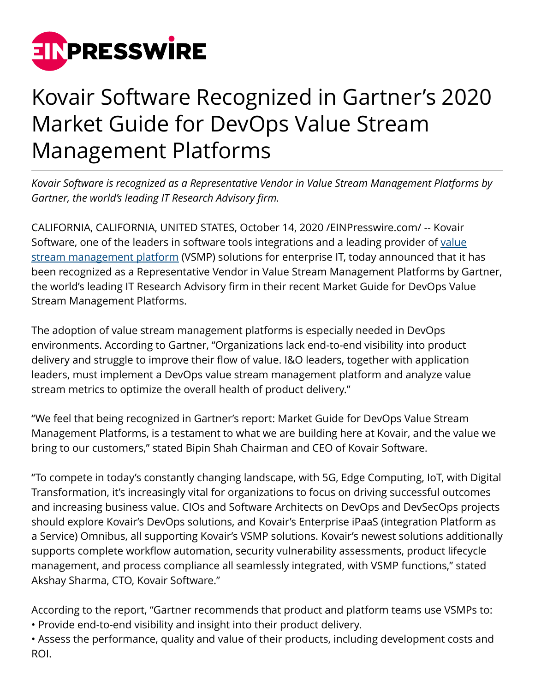

## Kovair Software Recognized in Gartner's 2020 Market Guide for DevOps Value Stream Management Platforms

*Kovair Software is recognized as a Representative Vendor in Value Stream Management Platforms by Gartner, the world's leading IT Research Advisory firm.*

CALIFORNIA, CALIFORNIA, UNITED STATES, October 14, 2020 /[EINPresswire.com](http://www.einpresswire.com)/ -- Kovair Software, one of the leaders in software tools integrations and a leading provider of [value](https://www.kovair.com/white-papers/value-stream-management-platform/) [stream management platform](https://www.kovair.com/white-papers/value-stream-management-platform/) (VSMP) solutions for enterprise IT, today announced that it has been recognized as a Representative Vendor in Value Stream Management Platforms by Gartner, the world's leading IT Research Advisory firm in their recent Market Guide for DevOps Value Stream Management Platforms.

The adoption of value stream management platforms is especially needed in DevOps environments. According to Gartner, "Organizations lack end-to-end visibility into product delivery and struggle to improve their flow of value. I&O leaders, together with application leaders, must implement a DevOps value stream management platform and analyze value stream metrics to optimize the overall health of product delivery."

"We feel that being recognized in Gartner's report: Market Guide for DevOps Value Stream Management Platforms, is a testament to what we are building here at Kovair, and the value we bring to our customers," stated Bipin Shah Chairman and CEO of Kovair Software.

"To compete in today's constantly changing landscape, with 5G, Edge Computing, IoT, with Digital Transformation, it's increasingly vital for organizations to focus on driving successful outcomes and increasing business value. CIOs and Software Architects on DevOps and DevSecOps projects should explore Kovair's DevOps solutions, and Kovair's Enterprise iPaaS (integration Platform as a Service) Omnibus, all supporting Kovair's VSMP solutions. Kovair's newest solutions additionally supports complete workflow automation, security vulnerability assessments, product lifecycle management, and process compliance all seamlessly integrated, with VSMP functions," stated Akshay Sharma, CTO, Kovair Software."

According to the report, "Gartner recommends that product and platform teams use VSMPs to: • Provide end-to-end visibility and insight into their product delivery.

• Assess the performance, quality and value of their products, including development costs and ROI.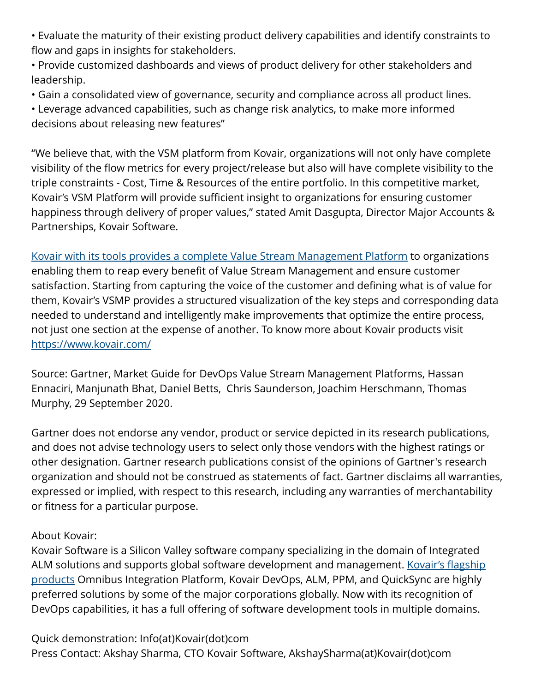• Evaluate the maturity of their existing product delivery capabilities and identify constraints to flow and gaps in insights for stakeholders.

• Provide customized dashboards and views of product delivery for other stakeholders and leadership.

• Gain a consolidated view of governance, security and compliance across all product lines.

• Leverage advanced capabilities, such as change risk analytics, to make more informed decisions about releasing new features"

"We believe that, with the VSM platform from Kovair, organizations will not only have complete visibility of the flow metrics for every project/release but also will have complete visibility to the triple constraints - Cost, Time & Resources of the entire portfolio. In this competitive market, Kovair's VSM Platform will provide sufficient insight to organizations for ensuring customer happiness through delivery of proper values," stated Amit Dasgupta, Director Major Accounts & Partnerships, Kovair Software.

[Kovair with its tools provides a complete Value Stream Management Platform](https://www.kovair.com/blog/gartner-report-highlights-kovair-in-marketplace-of-devops-vsmp-providers/) to organizations enabling them to reap every benefit of Value Stream Management and ensure customer satisfaction. Starting from capturing the voice of the customer and defining what is of value for them, Kovair's VSMP provides a structured visualization of the key steps and corresponding data needed to understand and intelligently make improvements that optimize the entire process, not just one section at the expense of another. To know more about Kovair products visit <https://www.kovair.com/>

Source: Gartner, Market Guide for DevOps Value Stream Management Platforms, Hassan Ennaciri, Manjunath Bhat, Daniel Betts, Chris Saunderson, Joachim Herschmann, Thomas Murphy, 29 September 2020.

Gartner does not endorse any vendor, product or service depicted in its research publications, and does not advise technology users to select only those vendors with the highest ratings or other designation. Gartner research publications consist of the opinions of Gartner's research organization and should not be construed as statements of fact. Gartner disclaims all warranties, expressed or implied, with respect to this research, including any warranties of merchantability or fitness for a particular purpose.

## About Kovair:

Kovair Software is a Silicon Valley software company specializing in the domain of Integrated ALM solutions and supports global software development and management. [Kovair's flagship](https://www.kovair.com/our-products/) [products](https://www.kovair.com/our-products/) Omnibus Integration Platform, Kovair DevOps, ALM, PPM, and QuickSync are highly preferred solutions by some of the major corporations globally. Now with its recognition of DevOps capabilities, it has a full offering of software development tools in multiple domains.

Quick demonstration: Info(at)Kovair(dot)com

Press Contact: Akshay Sharma, CTO Kovair Software, AkshaySharma(at)Kovair(dot)com